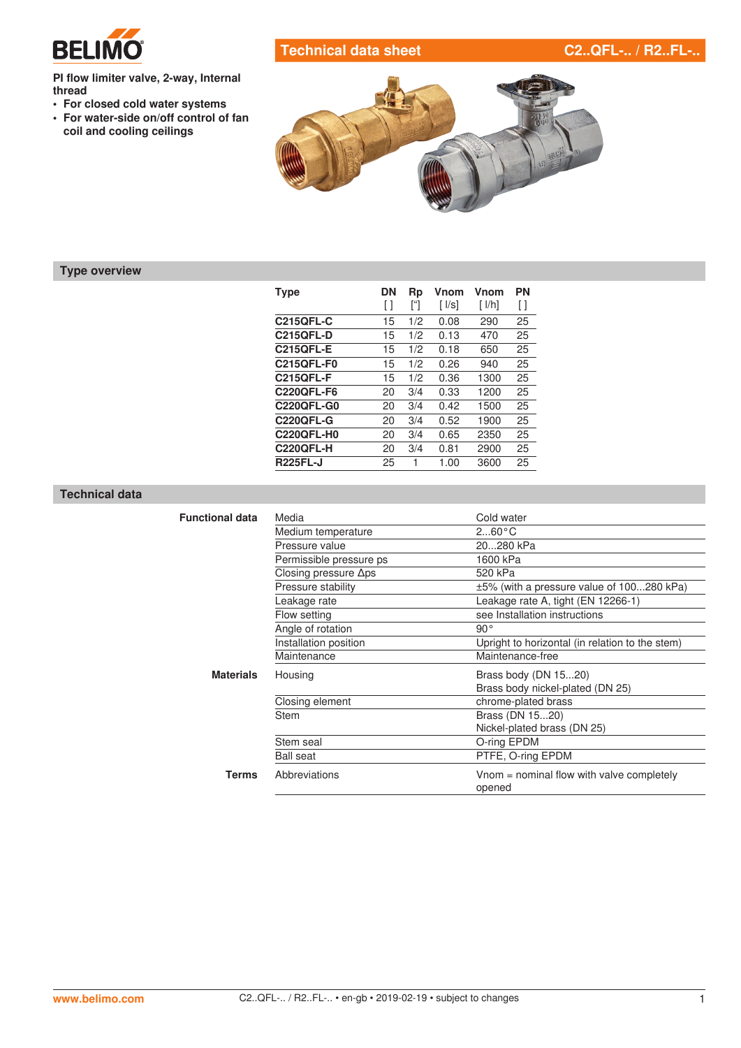

# **Technical data sheet C2..QFL-.. / R2..FL-..**

**PI flow limiter valve, 2-way, Internal thread**

- **• For closed cold water systems**
- **• For water-side on/off control of fan coil and cooling ceilings**



# **Type overview**

| <b>Type</b>       | DN  | Rp  | Vnom                       | Vnom                          | PN |
|-------------------|-----|-----|----------------------------|-------------------------------|----|
|                   | [ ] | ſΊ  | $\lceil \sqrt{ S } \rceil$ | $\lceil \, \lfloor h \rfloor$ | Ħ  |
| <b>C215QFL-C</b>  | 15  | 1/2 | 0.08                       | 290                           | 25 |
| <b>C215QFL-D</b>  | 15  | 1/2 | 0.13                       | 470                           | 25 |
| <b>C215QFL-E</b>  | 15  | 1/2 | 0.18                       | 650                           | 25 |
| <b>C215QFL-F0</b> | 15  | 1/2 | 0.26                       | 940                           | 25 |
| <b>C215QFL-F</b>  | 15  | 1/2 | 0.36                       | 1300                          | 25 |
| <b>C220QFL-F6</b> | 20  | 3/4 | 0.33                       | 1200                          | 25 |
| <b>C220QFL-G0</b> | 20  | 3/4 | 0.42                       | 1500                          | 25 |
| <b>C220QFL-G</b>  | 20  | 3/4 | 0.52                       | 1900                          | 25 |
| <b>C220QFL-H0</b> | 20  | 3/4 | 0.65                       | 2350                          | 25 |
| <b>C220QFL-H</b>  | 20  | 3/4 | 0.81                       | 2900                          | 25 |
| <b>R225FL-J</b>   | 25  | 1   | 1.00                       | 3600                          | 25 |

### **Technical data**

| <b>Functional data</b>            | Media                        | Cold water                                          |
|-----------------------------------|------------------------------|-----------------------------------------------------|
|                                   | Medium temperature           | $260^{\circ}$ C                                     |
|                                   | Pressure value               | 20280 kPa                                           |
|                                   | Permissible pressure ps      | 1600 kPa                                            |
|                                   | Closing pressure $\Delta$ ps | 520 kPa                                             |
|                                   | Pressure stability           | ±5% (with a pressure value of 100280 kPa)           |
|                                   | Leakage rate                 | Leakage rate A, tight (EN 12266-1)                  |
| Flow setting<br>Angle of rotation |                              | see Installation instructions                       |
|                                   |                              | $90^{\circ}$                                        |
|                                   | Installation position        | Upright to horizontal (in relation to the stem)     |
|                                   | Maintenance                  | Maintenance-free                                    |
| <b>Materials</b>                  | Housing                      | Brass body (DN 1520)                                |
|                                   |                              | Brass body nickel-plated (DN 25)                    |
|                                   | Closing element              | chrome-plated brass                                 |
|                                   | Stem                         | Brass (DN 1520)                                     |
|                                   |                              | Nickel-plated brass (DN 25)                         |
|                                   | Stem seal                    | O-ring EPDM                                         |
|                                   | <b>Ball seat</b>             | PTFE, O-ring EPDM                                   |
| <b>Terms</b>                      | Abbreviations                | Vnom = nominal flow with valve completely<br>opened |
|                                   |                              |                                                     |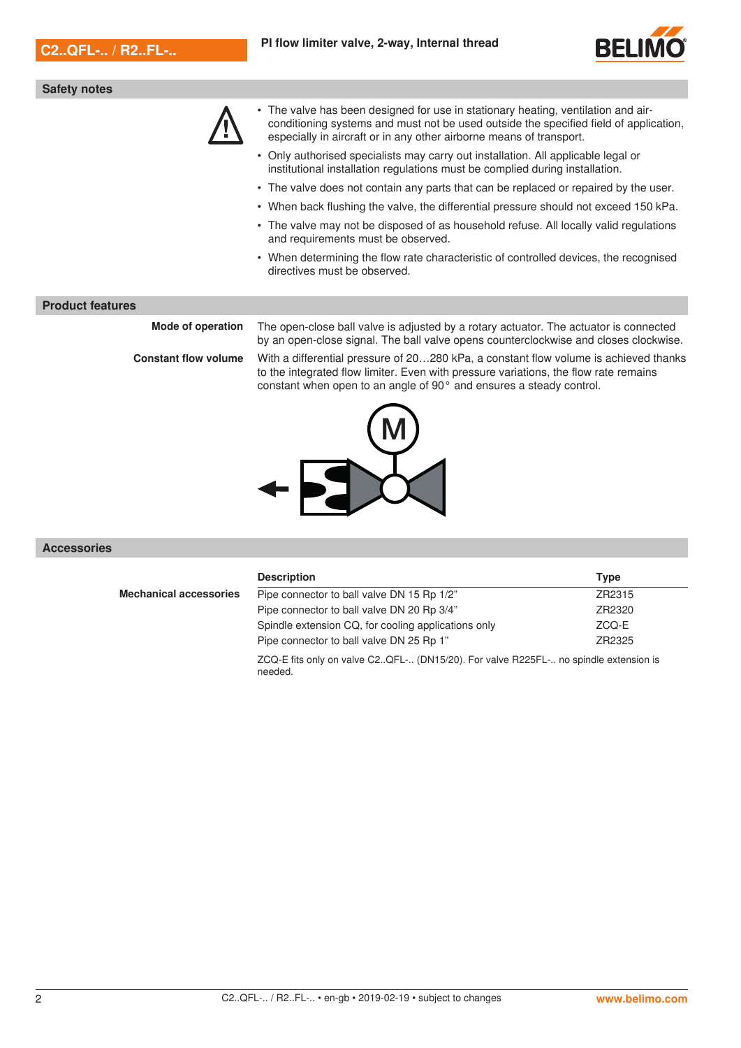

### **Safety notes**



- The valve has been designed for use in stationary heating, ventilation and air-<br>conditioning systems and must not be used outside the specified field of applies<br>especially in aircraft or in any other airborne means of tr conditioning systems and must not be used outside the specified field of application, especially in aircraft or in any other airborne means of transport.
	- Only authorised specialists may carry out installation. All applicable legal or institutional installation regulations must be complied during installation.
	- The valve does not contain any parts that can be replaced or repaired by the user.
	- When back flushing the valve, the differential pressure should not exceed 150 kPa.
	- The valve may not be disposed of as household refuse. All locally valid regulations and requirements must be observed.
	- When determining the flow rate characteristic of controlled devices, the recognised directives must be observed.

### **Product features**

**Mode of operation** The open-close ball valve is adjusted by a rotary actuator. The actuator is connected

by an open-close signal. The ball valve opens counterclockwise and closes clockwise. **Constant flow volume** With a differential pressure of 20…280 kPa, a constant flow volume is achieved thanks to the integrated flow limiter. Even with pressure variations, the flow rate remains constant when open to an angle of 90° and ensures a steady control.



### **Accessories**

|                               | <b>Description</b>                                  | Type   |
|-------------------------------|-----------------------------------------------------|--------|
| <b>Mechanical accessories</b> | Pipe connector to ball valve DN 15 Rp 1/2"          | ZR2315 |
|                               | Pipe connector to ball valve DN 20 Rp 3/4"          | ZR2320 |
|                               | Spindle extension CQ, for cooling applications only | ZCO-E  |
|                               | Pipe connector to ball valve DN 25 Rp 1"            | ZR2325 |

ZCQ-E fits only on valve C2..QFL-.. (DN15/20). For valve R225FL-.. no spindle extension is needed.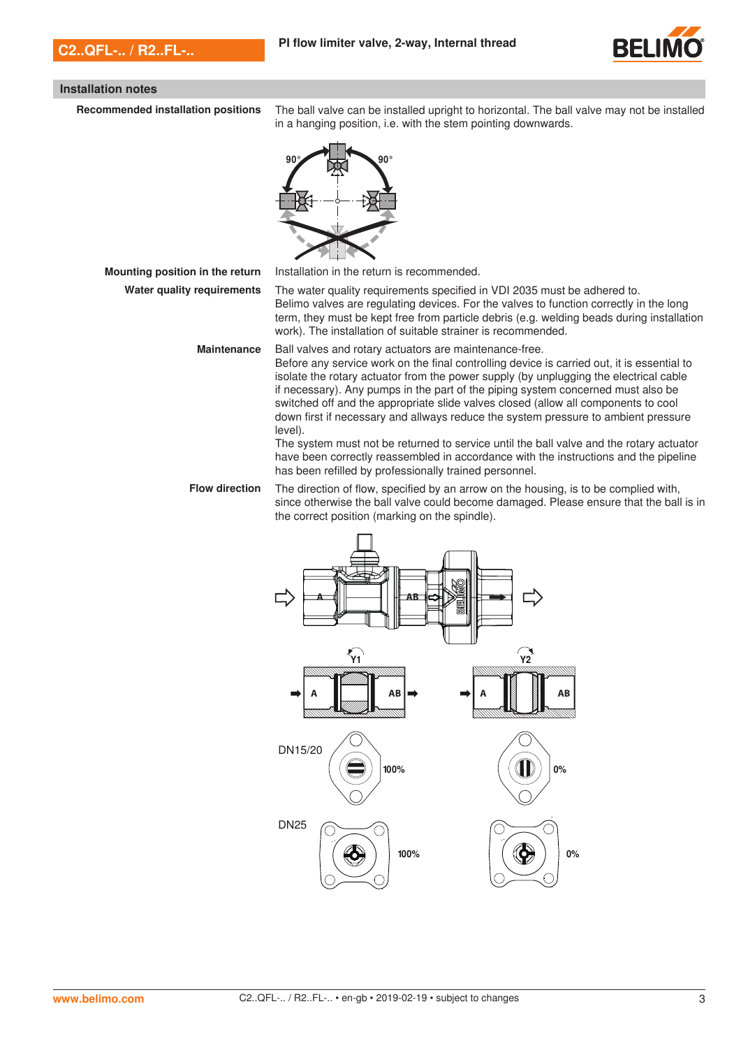

### **Installation notes**

**Recommended installation positions** The ball valve can be installed upright to horizontal. The ball valve may not be installed in a hanging position, i.e. with the stem pointing downwards.



**Mounting position in the return** Installation in the return is recommended.

**Water quality requirements** The water quality requirements specified in VDI 2035 must be adhered to. Belimo valves are regulating devices. For the valves to function correctly in the long term, they must be kept free from particle debris (e.g. welding beads during installation work). The installation of suitable strainer is recommended.

> **Maintenance** Ball valves and rotary actuators are maintenance-free. Before any service work on the final controlling device is carried out, it is essential to isolate the rotary actuator from the power supply (by unplugging the electrical cable if necessary). Any pumps in the part of the piping system concerned must also be switched off and the appropriate slide valves closed (allow all components to cool down first if necessary and allways reduce the system pressure to ambient pressure level).

> > The system must not be returned to service until the ball valve and the rotary actuator have been correctly reassembled in accordance with the instructions and the pipeline has been refilled by professionally trained personnel.

**Flow direction** The direction of flow, specified by an arrow on the housing, is to be complied with, since otherwise the ball valve could become damaged. Please ensure that the ball is in the correct position (marking on the spindle).